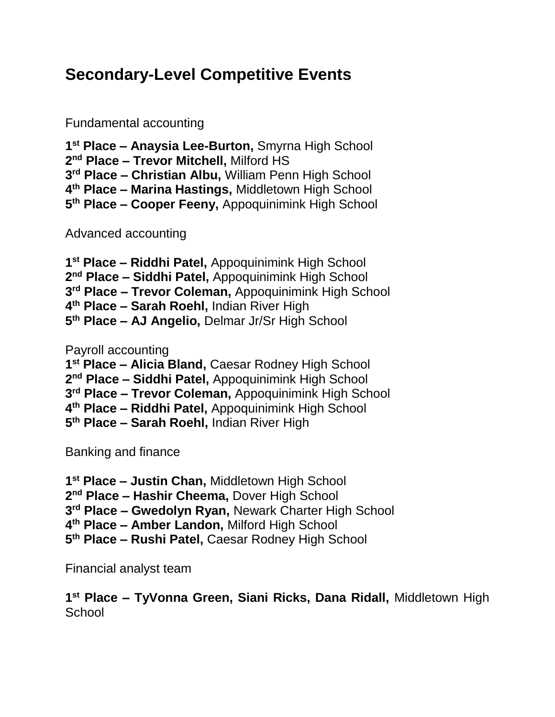## **Secondary-Level Competitive Events**

Fundamental accounting

 **st Place – Anaysia Lee-Burton,** Smyrna High School **nd Place – Trevor Mitchell,** Milford HS **rd Place – Christian Albu,** William Penn High School **th Place – Marina Hastings,** Middletown High School **th Place – Cooper Feeny,** Appoquinimink High School

Advanced accounting

 **st Place – Riddhi Patel,** Appoquinimink High School **nd Place – Siddhi Patel,** Appoquinimink High School **rd Place – Trevor Coleman,** Appoquinimink High School **th Place – Sarah Roehl,** Indian River High **th Place – AJ Angelio,** Delmar Jr/Sr High School

Payroll accounting

**st Place – Alicia Bland,** Caesar Rodney High School

**nd Place – Siddhi Patel,** Appoquinimink High School

**rd Place – Trevor Coleman,** Appoquinimink High School

**th Place – Riddhi Patel,** Appoquinimink High School

**th Place – Sarah Roehl,** Indian River High

Banking and finance

**st Place – Justin Chan,** Middletown High School

**nd Place – Hashir Cheema,** Dover High School

**rd Place – Gwedolyn Ryan,** Newark Charter High School

**th Place – Amber Landon,** Milford High School

**th Place – Rushi Patel,** Caesar Rodney High School

Financial analyst team

 **st Place – TyVonna Green, Siani Ricks, Dana Ridall,** Middletown High **School**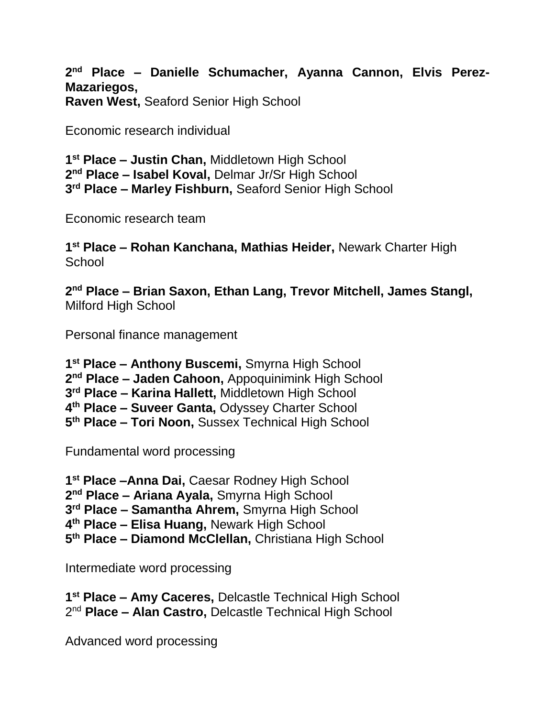**nd Place – Danielle Schumacher, Ayanna Cannon, Elvis Perez-Mazariegos, Raven West,** Seaford Senior High School

Economic research individual

 **st Place – Justin Chan,** Middletown High School **nd Place – Isabel Koval,** Delmar Jr/Sr High School **rd Place – Marley Fishburn,** Seaford Senior High School

Economic research team

 **st Place – Rohan Kanchana, Mathias Heider,** Newark Charter High **School** 

 **nd Place – Brian Saxon, Ethan Lang, Trevor Mitchell, James Stangl,**  Milford High School

Personal finance management

 **st Place – Anthony Buscemi,** Smyrna High School **nd Place – Jaden Cahoon,** Appoquinimink High School **rd Place – Karina Hallett,** Middletown High School **th Place – Suveer Ganta,** Odyssey Charter School **th Place – Tori Noon,** Sussex Technical High School

Fundamental word processing

**st Place –Anna Dai,** Caesar Rodney High School

**nd Place – Ariana Ayala,** Smyrna High School

**rd Place – Samantha Ahrem,** Smyrna High School

**th Place – Elisa Huang,** Newark High School

**th Place – Diamond McClellan,** Christiana High School

Intermediate word processing

 **st Place – Amy Caceres,** Delcastle Technical High School nd **Place – Alan Castro,** Delcastle Technical High School

Advanced word processing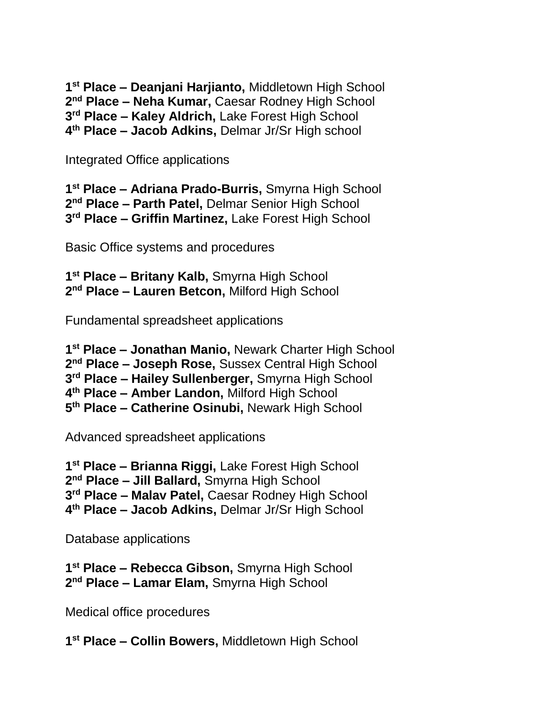**st Place – Deanjani Harjianto,** Middletown High School **nd Place – Neha Kumar,** Caesar Rodney High School **rd Place – Kaley Aldrich,** Lake Forest High School **th Place – Jacob Adkins,** Delmar Jr/Sr High school

Integrated Office applications

 **st Place – Adriana Prado-Burris,** Smyrna High School **nd Place – Parth Patel,** Delmar Senior High School **rd Place – Griffin Martinez,** Lake Forest High School

Basic Office systems and procedures

 **st Place – Britany Kalb,** Smyrna High School **nd Place – Lauren Betcon,** Milford High School

Fundamental spreadsheet applications

 **st Place – Jonathan Manio,** Newark Charter High School **nd Place – Joseph Rose,** Sussex Central High School **rd Place – Hailey Sullenberger,** Smyrna High School **th Place – Amber Landon,** Milford High School **th Place – Catherine Osinubi,** Newark High School

Advanced spreadsheet applications

 **st Place – Brianna Riggi,** Lake Forest High School **nd Place – Jill Ballard,** Smyrna High School **rd Place – Malav Patel,** Caesar Rodney High School **th Place – Jacob Adkins,** Delmar Jr/Sr High School

Database applications

 **st Place – Rebecca Gibson,** Smyrna High School **nd Place – Lamar Elam,** Smyrna High School

Medical office procedures

**st Place – Collin Bowers,** Middletown High School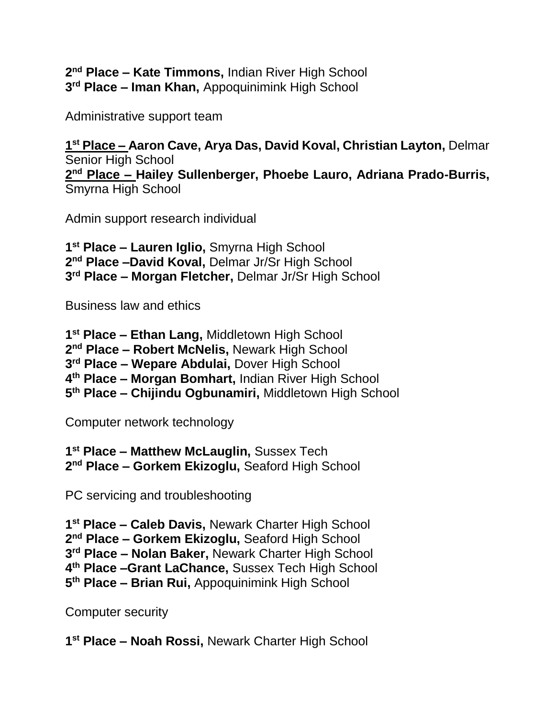**nd Place – Kate Timmons,** Indian River High School **rd Place – Iman Khan,** Appoquinimink High School

Administrative support team

 **st Place – Aaron Cave, Arya Das, David Koval, Christian Layton,** Delmar Senior High School **nd Place – Hailey Sullenberger, Phoebe Lauro, Adriana Prado-Burris,**  Smyrna High School

Admin support research individual

 **st Place – Lauren Iglio,** Smyrna High School **nd Place –David Koval,** Delmar Jr/Sr High School **rd Place – Morgan Fletcher,** Delmar Jr/Sr High School

Business law and ethics

 **st Place – Ethan Lang,** Middletown High School **nd Place – Robert McNelis,** Newark High School **rd Place – Wepare Abdulai,** Dover High School **th Place – Morgan Bomhart,** Indian River High School **th Place – Chijindu Ogbunamiri,** Middletown High School

Computer network technology

 **st Place – Matthew McLauglin,** Sussex Tech **nd Place – Gorkem Ekizoglu,** Seaford High School

PC servicing and troubleshooting

 **st Place – Caleb Davis,** Newark Charter High School **nd Place – Gorkem Ekizoglu,** Seaford High School **rd Place – Nolan Baker,** Newark Charter High School **th Place –Grant LaChance,** Sussex Tech High School **th Place – Brian Rui,** Appoquinimink High School

Computer security

**st Place – Noah Rossi,** Newark Charter High School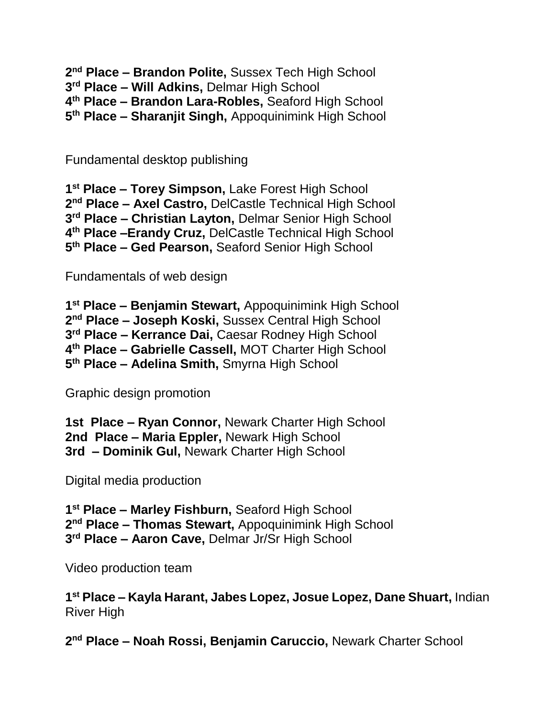**nd Place – Brandon Polite,** Sussex Tech High School

**rd Place – Will Adkins,** Delmar High School

**th Place – Brandon Lara-Robles,** Seaford High School

**th Place – Sharanjit Singh,** Appoquinimink High School

Fundamental desktop publishing

 **st Place – Torey Simpson,** Lake Forest High School **nd Place – Axel Castro,** DelCastle Technical High School **rd Place – Christian Layton,** Delmar Senior High School **th Place –Erandy Cruz,** DelCastle Technical High School **th Place – Ged Pearson,** Seaford Senior High School

Fundamentals of web design

 **st Place – Benjamin Stewart,** Appoquinimink High School **nd Place – Joseph Koski,** Sussex Central High School **rd Place – Kerrance Dai,** Caesar Rodney High School **th Place – Gabrielle Cassell,** MOT Charter High School **th Place – Adelina Smith,** Smyrna High School

Graphic design promotion

**1st Place – Ryan Connor,** Newark Charter High School **2nd Place – Maria Eppler,** Newark High School **3rd – Dominik Gul,** Newark Charter High School

Digital media production

 **st Place – Marley Fishburn,** Seaford High School **nd Place – Thomas Stewart,** Appoquinimink High School **rd Place – Aaron Cave,** Delmar Jr/Sr High School

Video production team

 **st Place – Kayla Harant, Jabes Lopez, Josue Lopez, Dane Shuart,** Indian River High

**nd Place – Noah Rossi, Benjamin Caruccio,** Newark Charter School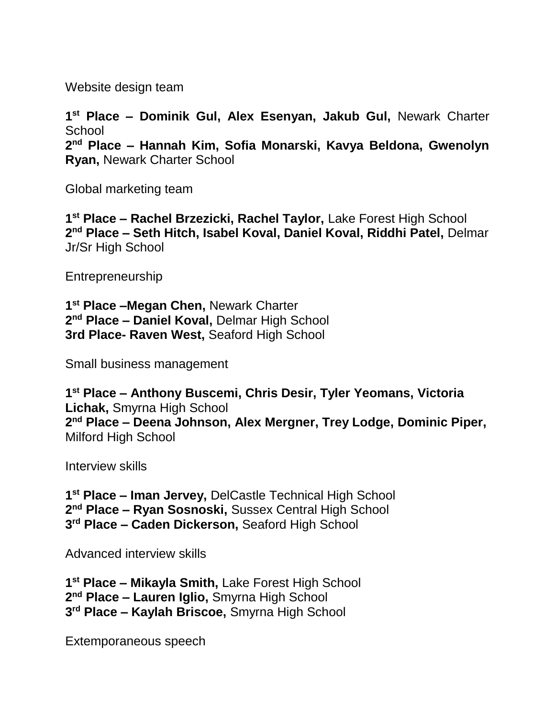Website design team

**1 st Place – Dominik Gul, Alex Esenyan, Jakub Gul,** Newark Charter **School 2 nd Place – Hannah Kim, Sofia Monarski, Kavya Beldona, Gwenolyn Ryan,** Newark Charter School

Global marketing team

**1 st Place – Rachel Brzezicki, Rachel Taylor,** Lake Forest High School **2 nd Place – Seth Hitch, Isabel Koval, Daniel Koval, Riddhi Patel,** Delmar Jr/Sr High School

Entrepreneurship

**1 st Place –Megan Chen,** Newark Charter **2 nd Place – Daniel Koval,** Delmar High School **3rd Place- Raven West,** Seaford High School

Small business management

**1 st Place – Anthony Buscemi, Chris Desir, Tyler Yeomans, Victoria Lichak,** Smyrna High School **2 nd Place – Deena Johnson, Alex Mergner, Trey Lodge, Dominic Piper,**  Milford High School

Interview skills

**1 st Place – Iman Jervey,** DelCastle Technical High School **2 nd Place – Ryan Sosnoski,** Sussex Central High School **3 rd Place – Caden Dickerson,** Seaford High School

Advanced interview skills

**1 st Place – Mikayla Smith,** Lake Forest High School **2 nd Place – Lauren Iglio,** Smyrna High School **3 rd Place – Kaylah Briscoe,** Smyrna High School

Extemporaneous speech